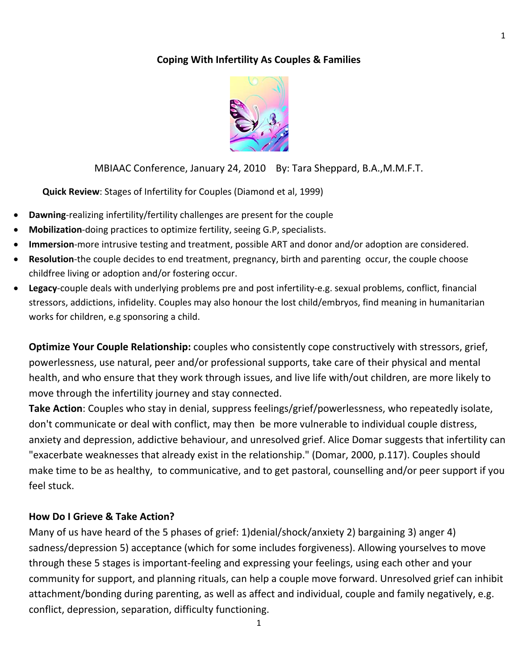# **Coping With Infertility As Couples & Families**



MBIAAC Conference, January 24, 2010 By: Tara Sheppard, B.A.,M.M.F.T.

**Quick Review**: Stages of Infertility for Couples (Diamond et al, 1999)

- **Dawning**-realizing infertility/fertility challenges are present for the couple
- **Mobilization**‐doing practices to optimize fertility, seeing G.P, specialists.
- **Immersion**‐more intrusive testing and treatment, possible ART and donor and/or adoption are considered.
- **Resolution**-the couple decides to end treatment, pregnancy, birth and parenting occur, the couple choose childfree living or adoption and/or fostering occur.
- Legacy-couple deals with underlying problems pre and post infertility-e.g. sexual problems, conflict, financial stressors, addictions, infidelity. Couples may also honour the lost child/embryos, find meaning in humanitarian works for children, e.g sponsoring a child.

**Optimize Your Couple Relationship:** couples who consistently cope constructively with stressors, grief, powerlessness, use natural, peer and/or professional supports, take care of their physical and mental health, and who ensure that they work through issues, and live life with/out children, are more likely to move through the infertility journey and stay connected.

**Take Action**: Couples who stay in denial, suppress feelings/grief/powerlessness, who repeatedly isolate, don't communicate or deal with conflict, may then be more vulnerable to individual couple distress, anxiety and depression, addictive behaviour, and unresolved grief. Alice Domar suggests that infertility can "exacerbate weaknesses that already exist in the relationship." (Domar, 2000, p.117). Couples should make time to be as healthy, to communicative, and to get pastoral, counselling and/or peer support if you feel stuck.

## **How Do I Grieve & Take Action?**

Many of us have heard of the 5 phases of grief: 1)denial/shock/anxiety 2) bargaining 3) anger 4) sadness/depression 5) acceptance (which for some includes forgiveness). Allowing yourselves to move through these 5 stages is important‐feeling and expressing your feelings, using each other and your community for support, and planning rituals, can help a couple move forward. Unresolved grief can inhibit attachment/bonding during parenting, as well as affect and individual, couple and family negatively, e.g. conflict, depression, separation, difficulty functioning.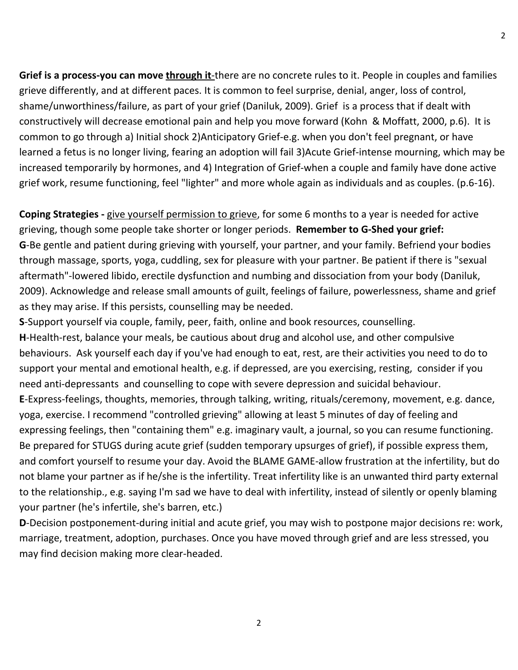**Grief is a process‐you can move through it**‐there are no concrete rules to it. People in couples and families grieve differently, and at different paces. It is common to feel surprise, denial, anger, loss of control, shame/unworthiness/failure, as part of your grief (Daniluk, 2009). Grief is a process that if dealt with constructively will decrease emotional pain and help you move forward (Kohn & Moffatt, 2000, p.6). It is common to go through a) Initial shock 2)Anticipatory Grief‐e.g. when you don't feel pregnant, or have learned a fetus is no longer living, fearing an adoption will fail 3)Acute Grief‐intense mourning, which may be increased temporarily by hormones, and 4) Integration of Grief‐when a couple and family have done active grief work, resume functioning, feel "lighter" and more whole again as individuals and as couples. (p.6‐16).

**Coping Strategies** - give yourself permission to grieve, for some 6 months to a year is needed for active grieving, though some people take shorter or longer periods. **Remember to G‐Shed your grief: G**‐Be gentle and patient during grieving with yourself, your partner, and your family. Befriend your bodies through massage, sports, yoga, cuddling, sex for pleasure with your partner. Be patient if there is "sexual aftermath"‐lowered libido, erectile dysfunction and numbing and dissociation from your body (Daniluk, 2009). Acknowledge and release small amounts of guilt, feelings of failure, powerlessness, shame and grief as they may arise. If this persists, counselling may be needed.

**S**‐Support yourself via couple, family, peer, faith, online and book resources, counselling. **H**‐Health‐rest, balance your meals, be cautious about drug and alcohol use, and other compulsive behaviours. Ask yourself each day if you've had enough to eat, rest, are their activities you need to do to support your mental and emotional health, e.g. if depressed, are you exercising, resting, consider if you need anti-depressants and counselling to cope with severe depression and suicidal behaviour. **E**‐Express‐feelings, thoughts, memories, through talking, writing, rituals/ceremony, movement, e.g. dance, yoga, exercise. I recommend "controlled grieving" allowing at least 5 minutes of day of feeling and expressing feelings, then "containing them" e.g. imaginary vault, a journal, so you can resume functioning. Be prepared for STUGS during acute grief (sudden temporary upsurges of grief), if possible express them, and comfort yourself to resume your day. Avoid the BLAME GAME‐allow frustration at the infertility, but do not blame your partner as if he/she is the infertility. Treat infertility like is an unwanted third party external to the relationship., e.g. saying I'm sad we have to deal with infertility, instead of silently or openly blaming your partner (he's infertile, she's barren, etc.)

**D**‐Decision postponement‐during initial and acute grief, you may wish to postpone major decisions re: work, marriage, treatment, adoption, purchases. Once you have moved through grief and are less stressed, you may find decision making more clear‐headed.

2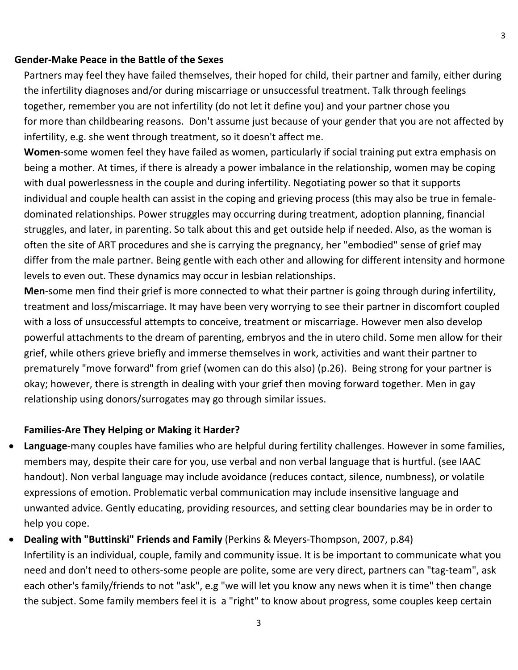### **Gender‐Make Peace in the Battle of the Sexes**

Partners may feel they have failed themselves, their hoped for child, their partner and family, either during the infertility diagnoses and/or during miscarriage or unsuccessful treatment. Talk through feelings together, remember you are not infertility (do not let it define you) and your partner chose you for more than childbearing reasons. Don't assume just because of your gender that you are not affected by infertility, e.g. she went through treatment, so it doesn't affect me.

**Women**‐some women feel they have failed as women, particularly if social training put extra emphasis on being a mother. At times, if there is already a power imbalance in the relationship, women may be coping with dual powerlessness in the couple and during infertility. Negotiating power so that it supports individual and couple health can assist in the coping and grieving process (this may also be true in female‐ dominated relationships. Power struggles may occurring during treatment, adoption planning, financial struggles, and later, in parenting. So talk about this and get outside help if needed. Also, as the woman is often the site of ART procedures and she is carrying the pregnancy, her "embodied" sense of grief may differ from the male partner. Being gentle with each other and allowing for different intensity and hormone levels to even out. These dynamics may occur in lesbian relationships.

**Men**‐some men find their grief is more connected to what their partner is going through during infertility, treatment and loss/miscarriage. It may have been very worrying to see their partner in discomfort coupled with a loss of unsuccessful attempts to conceive, treatment or miscarriage. However men also develop powerful attachments to the dream of parenting, embryos and the in utero child. Some men allow for their grief, while others grieve briefly and immerse themselves in work, activities and want their partner to prematurely "move forward" from grief (women can do this also) (p.26). Being strong for your partner is okay; however, there is strength in dealing with your grief then moving forward together. Men in gay relationship using donors/surrogates may go through similar issues.

## **Families‐Are They Helping or Making it Harder?**

- **Language**‐many couples have families who are helpful during fertility challenges. However in some families, members may, despite their care for you, use verbal and non verbal language that is hurtful. (see IAAC handout). Non verbal language may include avoidance (reduces contact, silence, numbness), or volatile expressions of emotion. Problematic verbal communication may include insensitive language and unwanted advice. Gently educating, providing resources, and setting clear boundaries may be in order to help you cope.
- **Dealing with "Buttinski" Friends and Family** (Perkins & Meyers‐Thompson, 2007, p.84) Infertility is an individual, couple, family and community issue. It is be important to communicate what you need and don't need to others‐some people are polite, some are very direct, partners can "tag‐team", ask each other's family/friends to not "ask", e.g "we will let you know any news when it is time" then change the subject. Some family members feel it is a "right" to know about progress, some couples keep certain

3